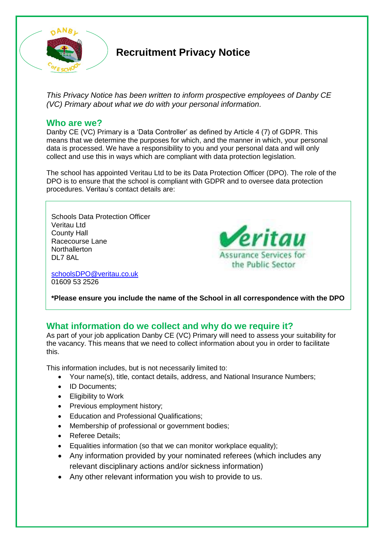

# **Recruitment Privacy Notice**

*This Privacy Notice has been written to inform prospective employees of Danby CE (VC) Primary about what we do with your personal information.* 

#### **Who are we?**

Danby CE (VC) Primary is a 'Data Controller' as defined by Article 4 (7) of GDPR. This means that we determine the purposes for which, and the manner in which, your personal data is processed. We have a responsibility to you and your personal data and will only collect and use this in ways which are compliant with data protection legislation.

The school has appointed Veritau Ltd to be its Data Protection Officer (DPO). The role of the DPO is to ensure that the school is compliant with GDPR and to oversee data protection procedures. Veritau's contact details are:

Schools Data Protection Officer Veritau Ltd County Hall Racecourse Lane **Northallerton** DL7 8AL

[schoolsDPO@veritau.co.uk](mailto:schoolsDPO@veritau.co.uk) 01609 53 2526



eritau

**\*Please ensure you include the name of the School in all correspondence with the DPO** 

# **What information do we collect and why do we require it?**

As part of your job application Danby CE (VC) Primary will need to assess your suitability for the vacancy. This means that we need to collect information about you in order to facilitate this.

This information includes, but is not necessarily limited to:

- Your name(s), title, contact details, address, and National Insurance Numbers;
- ID Documents:
- **Eligibility to Work**
- Previous employment history;
- Education and Professional Qualifications;
- Membership of professional or government bodies;
- Referee Details:
- Equalities information (so that we can monitor workplace equality);
- Any information provided by your nominated referees (which includes any relevant disciplinary actions and/or sickness information)
- Any other relevant information you wish to provide to us.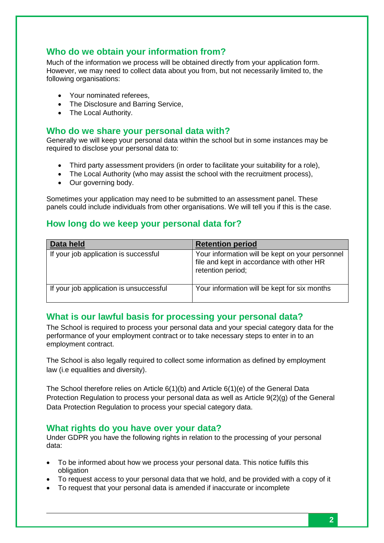# **Who do we obtain your information from?**

Much of the information we process will be obtained directly from your application form. However, we may need to collect data about you from, but not necessarily limited to, the following organisations:

- Your nominated referees,
- The Disclosure and Barring Service,
- The Local Authority.

#### **Who do we share your personal data with?**

Generally we will keep your personal data within the school but in some instances may be required to disclose your personal data to:

- Third party assessment providers (in order to facilitate your suitability for a role),
- The Local Authority (who may assist the school with the recruitment process),
- Our governing body.

Sometimes your application may need to be submitted to an assessment panel. These panels could include individuals from other organisations. We will tell you if this is the case.

## **How long do we keep your personal data for?**

| Data held                               | <b>Retention period</b>                                                                                           |
|-----------------------------------------|-------------------------------------------------------------------------------------------------------------------|
| If your job application is successful   | Your information will be kept on your personnel<br>file and kept in accordance with other HR<br>retention period; |
| If your job application is unsuccessful | Your information will be kept for six months                                                                      |

## **What is our lawful basis for processing your personal data?**

The School is required to process your personal data and your special category data for the performance of your employment contract or to take necessary steps to enter in to an employment contract.

The School is also legally required to collect some information as defined by employment law (i.e equalities and diversity).

The School therefore relies on Article 6(1)(b) and Article 6(1)(e) of the General Data Protection Regulation to process your personal data as well as Article 9(2)(g) of the General Data Protection Regulation to process your special category data.

#### **What rights do you have over your data?**

Under GDPR you have the following rights in relation to the processing of your personal data:

- To be informed about how we process your personal data. This notice fulfils this obligation
- To request access to your personal data that we hold, and be provided with a copy of it
- To request that your personal data is amended if inaccurate or incomplete